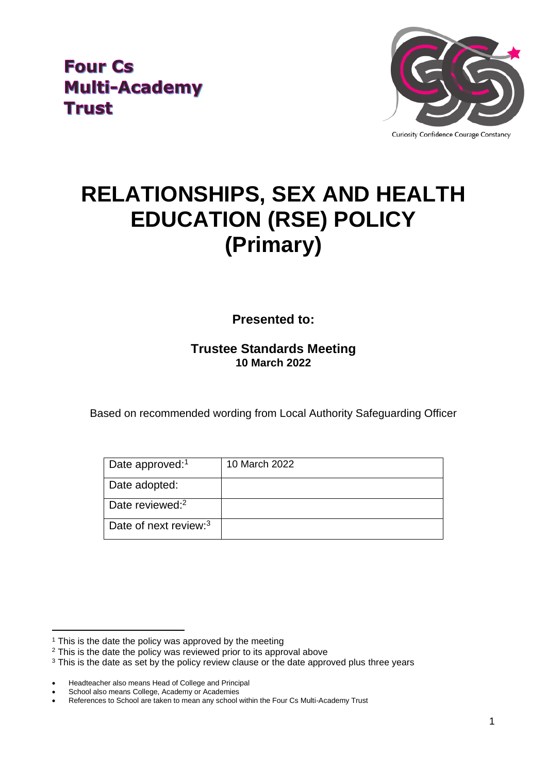**Four Cs Multi-Academy Trust** 



# **RELATIONSHIPS, SEX AND HEALTH EDUCATION (RSE) POLICY (Primary)**

**Presented to:**

## **Trustee Standards Meeting 10 March 2022**

Based on recommended wording from Local Authority Safeguarding Officer

| Date approved: <sup>1</sup>       | 10 March 2022 |
|-----------------------------------|---------------|
| Date adopted:                     |               |
| Date reviewed: $2$                |               |
| Date of next review: <sup>3</sup> |               |

<sup>&</sup>lt;sup>1</sup> This is the date the policy was approved by the meeting

<sup>&</sup>lt;sup>2</sup> This is the date the policy was reviewed prior to its approval above

<sup>&</sup>lt;sup>3</sup> This is the date as set by the policy review clause or the date approved plus three years

<sup>•</sup> Headteacher also means Head of College and Principal

School also means College, Academy or Academies

<sup>•</sup> References to School are taken to mean any school within the Four Cs Multi-Academy Trust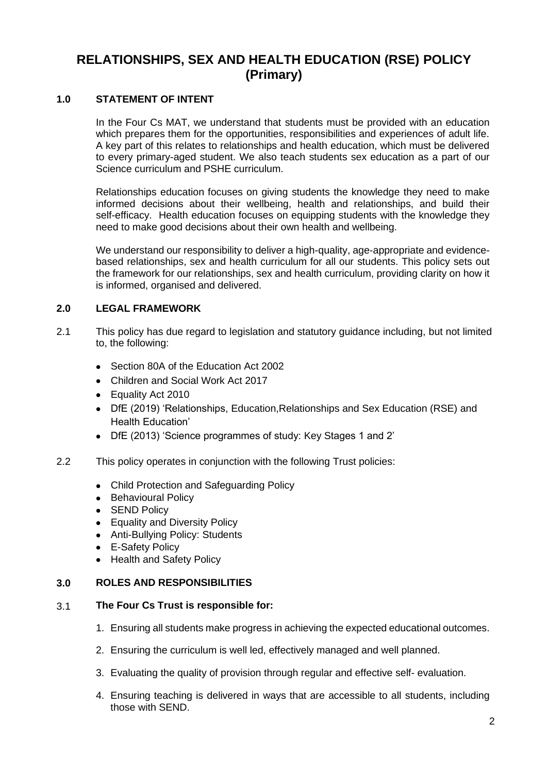## **RELATIONSHIPS, SEX AND HEALTH EDUCATION (RSE) POLICY (Primary)**

## **1.0 STATEMENT OF INTENT**

In the Four Cs MAT, we understand that students must be provided with an education which prepares them for the opportunities, responsibilities and experiences of adult life. A key part of this relates to relationships and health education, which must be delivered to every primary-aged student. We also teach students sex education as a part of our Science curriculum and PSHE curriculum.

Relationships education focuses on giving students the knowledge they need to make informed decisions about their wellbeing, health and relationships, and build their self-efficacy. Health education focuses on equipping students with the knowledge they need to make good decisions about their own health and wellbeing.

We understand our responsibility to deliver a high-quality, age-appropriate and evidencebased relationships, sex and health curriculum for all our students. This policy sets out the framework for our relationships, sex and health curriculum, providing clarity on how it is informed, organised and delivered.

### **2.0 LEGAL FRAMEWORK**

- 2.1 This policy has due regard to legislation and statutory guidance including, but not limited to, the following:
	- Section 80A of the Education Act 2002
	- Children and Social Work Act 2017
	- Equality Act 2010
	- DfE (2019) 'Relationships, Education,Relationships and Sex Education (RSE) and Health Education'
	- DfE (2013) 'Science programmes of study: Key Stages 1 and 2'
- 2.2 This policy operates in conjunction with the following Trust policies:
	- Child Protection and Safeguarding Policy
	- Behavioural Policy
	- **SEND Policy**
	- Equality and Diversity Policy
	- Anti-Bullying Policy: Students
	- E-Safety Policy
	- Health and Safety Policy

#### **3.0 ROLES AND RESPONSIBILITIES**

#### 3.1 **The Four Cs Trust is responsible for:**

- 1. Ensuring all students make progress in achieving the expected educational outcomes.
- 2. Ensuring the curriculum is well led, effectively managed and well planned.
- 3. Evaluating the quality of provision through regular and effective self- evaluation.
- 4. Ensuring teaching is delivered in ways that are accessible to all students, including those with SEND.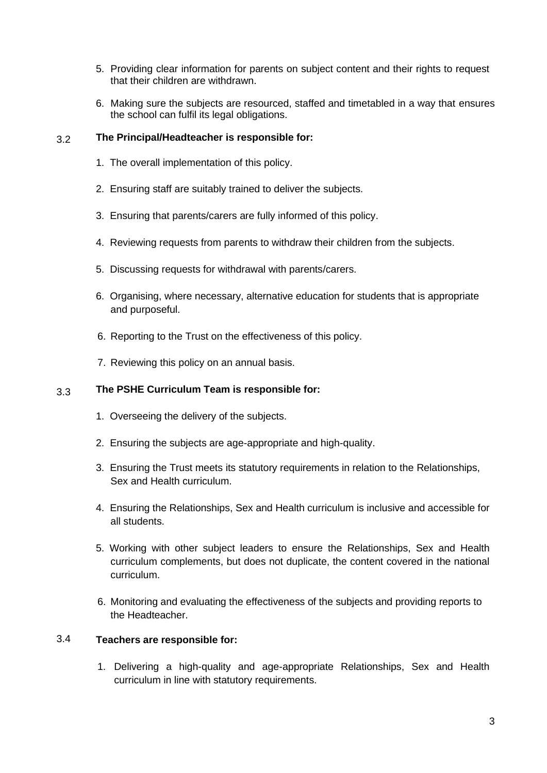- 5. Providing clear information for parents on subject content and their rights to request that their children are withdrawn.
- 6. Making sure the subjects are resourced, staffed and timetabled in a way that ensures the school can fulfil its legal obligations.

### 3.2 **The Principal/Headteacher is responsible for:**

- 1. The overall implementation of this policy.
- 2. 2. Ensuring staff are suitably trained to deliver the subjects.
- 4. 3. Ensuring that parents/carers are fully informed of this policy.
- 4. Reviewing requests from parents to withdraw their children from the subjects.
- 5. Discussing requests for withdrawal with parents/carers.
- 6. Organising, where necessary, alternative education for students that is appropriate and purposeful.
- 6. Reporting to the Trust on the effectiveness of this policy.
- 7. Reviewing this policy on an annual basis.

### 3.3 **The PSHE Curriculum Team is responsible for:**

- 1.Overseeing the delivery of the subjects.
- 2. Ensuring the subjects are age-appropriate and high-quality.
- 3. Ensuring the Trust meets its statutory requirements in relation to the Relationships, Sex and Health curriculum.
- 4. Ensuring the Relationships, Sex and Health curriculum is inclusive and accessible for all students.
- 5. Working with other subject leaders to ensure the Relationships, Sex and Health curriculum complements, but does not duplicate, the content covered in the national curriculum.
- 6. Monitoring and evaluating the effectiveness of the subjects and providing reports to the Headteacher.

### 3.4 **Teachers are responsible for:**

1. Delivering a high-quality and age-appropriate Relationships, Sex and Health curriculum in line with statutory requirements.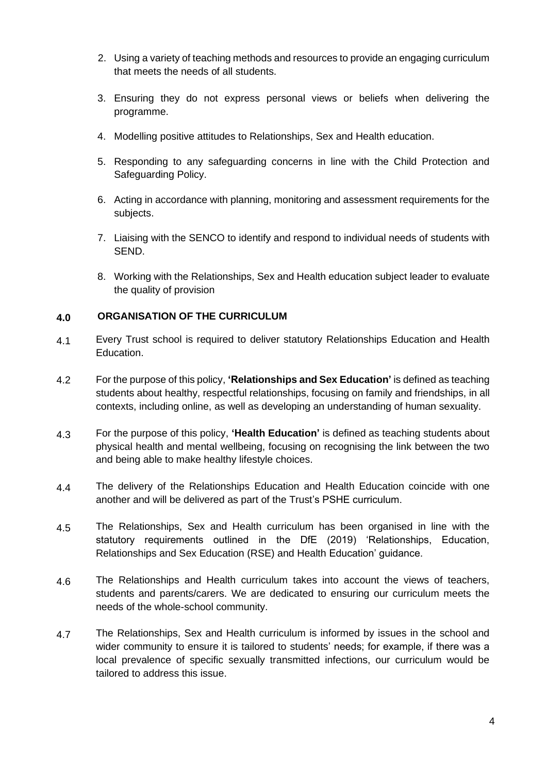- 2. Using a variety of teaching methods and resources to provide an engaging curriculum that meets the needs of all students.
- 3. Ensuring they do not express personal views or beliefs when delivering the programme.
- 4. Modelling positive attitudes to Relationships, Sex and Health education.
- 5. Responding to any safeguarding concerns in line with the Child Protection and Safeguarding Policy.
- 6. Acting in accordance with planning, monitoring and assessment requirements for the subjects.
- 7. Liaising with the SENCO to identify and respond to individual needs of students with SEND.
- 8. Working with the Relationships, Sex and Health education subject leader to evaluate the quality of provision

## **4.0 ORGANISATION OF THE CURRICULUM**

- 4.1 Every Trust school is required to deliver statutory Relationships Education and Health Education.
- 4.2 For the purpose of this policy, **'Relationships and Sex Education'** is defined as teaching students about healthy, respectful relationships, focusing on family and friendships, in all contexts, including online, as well as developing an understanding of human sexuality.
- 4.3 For the purpose of this policy, **'Health Education'** is defined as teaching students about physical health and mental wellbeing, focusing on recognising the link between the two and being able to make healthy lifestyle choices.
- 4.4 The delivery of the Relationships Education and Health Education coincide with one another and will be delivered as part of the Trust's PSHE curriculum.
- 4.5 The Relationships, Sex and Health curriculum has been organised in line with the statutory requirements outlined in the DfE (2019) 'Relationships, Education, Relationships and Sex Education (RSE) and Health Education' guidance.
- 4.6 The Relationships and Health curriculum takes into account the views of teachers, students and parents/carers. We are dedicated to ensuring our curriculum meets the needs of the whole-school community.
- 4.7 The Relationships, Sex and Health curriculum is informed by issues in the school and wider community to ensure it is tailored to students' needs; for example, if there was a local prevalence of specific sexually transmitted infections, our curriculum would be tailored to address this issue.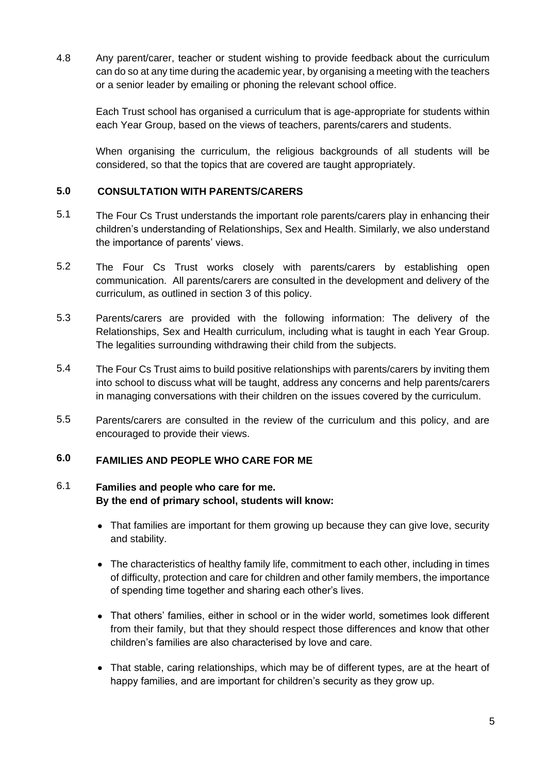4.8 Any parent/carer, teacher or student wishing to provide feedback about the curriculum can do so at any time during the academic year, by organising a meeting with the teachers or a senior leader by emailing or phoning the relevant school office.

Each Trust school has organised a curriculum that is age-appropriate for students within each Year Group, based on the views of teachers, parents/carers and students.

When organising the curriculum, the religious backgrounds of all students will be considered, so that the topics that are covered are taught appropriately.

## **5.0 CONSULTATION WITH PARENTS/CARERS**

- 5.1 The Four Cs Trust understands the important role parents/carers play in enhancing their children's understanding of Relationships, Sex and Health. Similarly, we also understand the importance of parents' views.
- 5.2 The Four Cs Trust works closely with parents/carers by establishing open communication. All parents/carers are consulted in the development and delivery of the curriculum, as outlined in section 3 of this policy.
- 5.3 Parents/carers are provided with the following information: The delivery of the Relationships, Sex and Health curriculum, including what is taught in each Year Group. The legalities surrounding withdrawing their child from the subjects.
- 5.4 The Four Cs Trust aims to build positive relationships with parents/carers by inviting them into school to discuss what will be taught, address any concerns and help parents/carers in managing conversations with their children on the issues covered by the curriculum.
- 5.5 Parents/carers are consulted in the review of the curriculum and this policy, and are encouraged to provide their views.

## **6.0 FAMILIES AND PEOPLE WHO CARE FOR ME**

## 6.1 **Families and people who care for me. By the end of primary school, students will know:**

- That families are important for them growing up because they can give love, security and stability.
- The characteristics of healthy family life, commitment to each other, including in times of difficulty, protection and care for children and other family members, the importance of spending time together and sharing each other's lives.
- That others' families, either in school or in the wider world, sometimes look different from their family, but that they should respect those differences and know that other children's families are also characterised by love and care.
- That stable, caring relationships, which may be of different types, are at the heart of happy families, and are important for children's security as they grow up.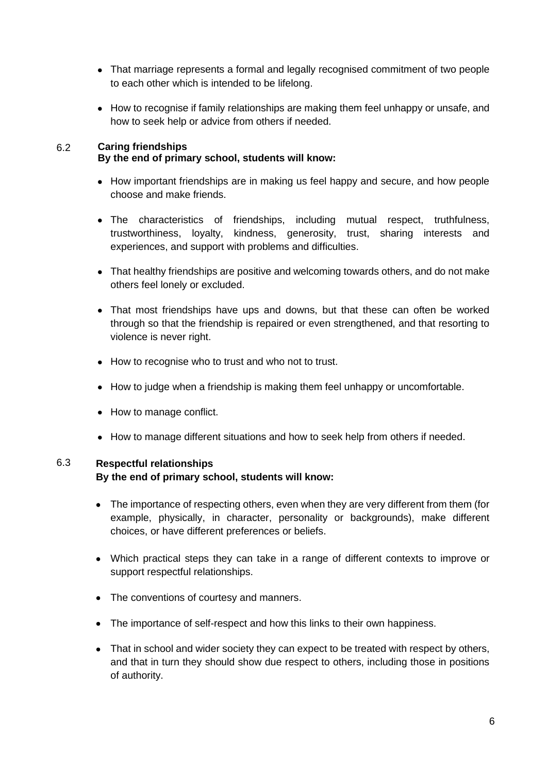- That marriage represents a formal and legally recognised commitment of two people to each other which is intended to be lifelong.
- How to recognise if family relationships are making them feel unhappy or unsafe, and how to seek help or advice from others if needed.

## 6.2 **Caring friendships By the end of primary school, students will know:**

- How important friendships are in making us feel happy and secure, and how people choose and make friends.
- The characteristics of friendships, including mutual respect, truthfulness, trustworthiness, loyalty, kindness, generosity, trust, sharing interests and experiences, and support with problems and difficulties.
- That healthy friendships are positive and welcoming towards others, and do not make others feel lonely or excluded.
- That most friendships have ups and downs, but that these can often be worked through so that the friendship is repaired or even strengthened, and that resorting to violence is never right.
- How to recognise who to trust and who not to trust.
- How to judge when a friendship is making them feel unhappy or uncomfortable.
- How to manage conflict.
- How to manage different situations and how to seek help from others if needed.

## 6.3 **Respectful relationships By the end of primary school, students will know:**

- The importance of respecting others, even when they are very different from them (for example, physically, in character, personality or backgrounds), make different choices, or have different preferences or beliefs.
- Which practical steps they can take in a range of different contexts to improve or support respectful relationships.
- The conventions of courtesy and manners.
- The importance of self-respect and how this links to their own happiness.
- That in school and wider society they can expect to be treated with respect by others, and that in turn they should show due respect to others, including those in positions of authority.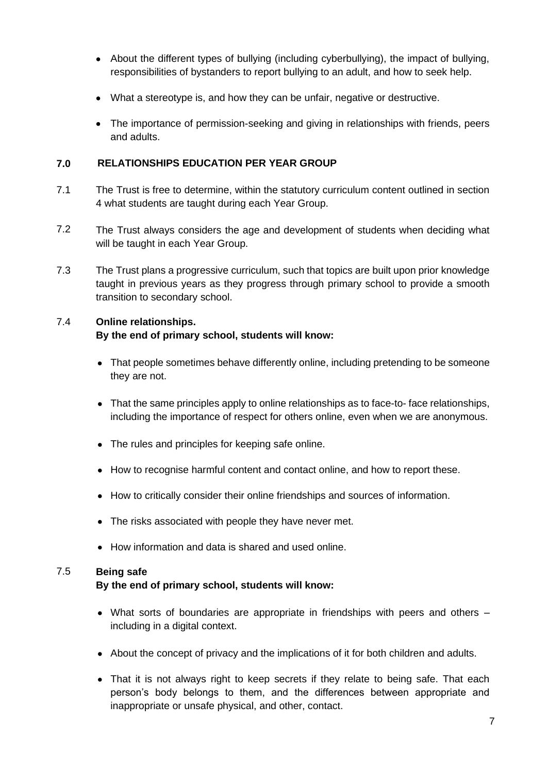- About the different types of bullying (including cyberbullying), the impact of bullying, responsibilities of bystanders to report bullying to an adult, and how to seek help.
- What a stereotype is, and how they can be unfair, negative or destructive.
- The importance of permission-seeking and giving in relationships with friends, peers and adults.

## **7.0 RELATIONSHIPS EDUCATION PER YEAR GROUP**

- 7.1 The Trust is free to determine, within the statutory curriculum content outlined in section 4 what students are taught during each Year Group.
- 7.2 The Trust always considers the age and development of students when deciding what will be taught in each Year Group.
- 7.3 The Trust plans a progressive curriculum, such that topics are built upon prior knowledge taught in previous years as they progress through primary school to provide a smooth transition to secondary school.

## 7.4 **Online relationships.**

## **By the end of primary school, students will know:**

- That people sometimes behave differently online, including pretending to be someone they are not.
- That the same principles apply to online relationships as to face-to- face relationships, including the importance of respect for others online, even when we are anonymous.
- The rules and principles for keeping safe online.
- How to recognise harmful content and contact online, and how to report these.
- How to critically consider their online friendships and sources of information.
- The risks associated with people they have never met.
- How information and data is shared and used online.

## 7.5 **Being safe**

## **By the end of primary school, students will know:**

- What sorts of boundaries are appropriate in friendships with peers and others including in a digital context.
- About the concept of privacy and the implications of it for both children and adults.
- That it is not always right to keep secrets if they relate to being safe. That each person's body belongs to them, and the differences between appropriate and inappropriate or unsafe physical, and other, contact.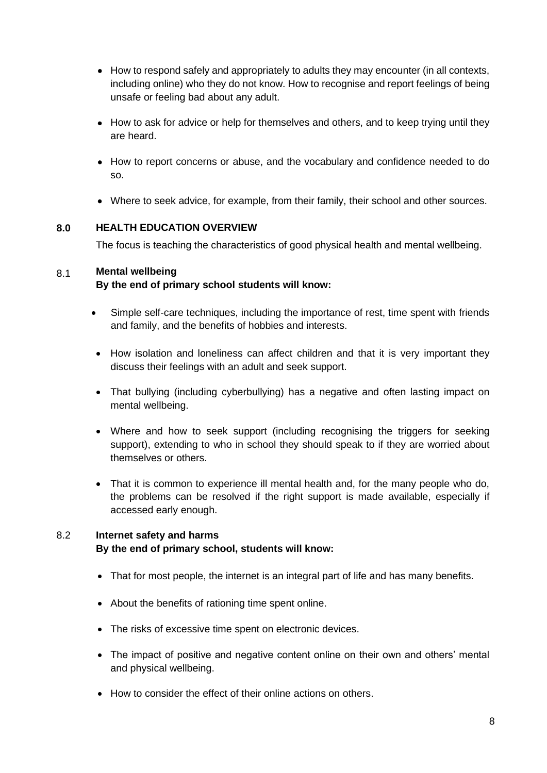- How to respond safely and appropriately to adults they may encounter (in all contexts, including online) who they do not know. How to recognise and report feelings of being unsafe or feeling bad about any adult.
- How to ask for advice or help for themselves and others, and to keep trying until they are heard.
- How to report concerns or abuse, and the vocabulary and confidence needed to do so.
- Where to seek advice, for example, from their family, their school and other sources.

## **8.0 HEALTH EDUCATION OVERVIEW**

The focus is teaching the characteristics of good physical health and mental wellbeing.

## 8.1 **Mental wellbeing**

## **By the end of primary school students will know:**

- Simple self-care techniques, including the importance of rest, time spent with friends and family, and the benefits of hobbies and interests.
- How isolation and loneliness can affect children and that it is very important they discuss their feelings with an adult and seek support.
- That bullying (including cyberbullying) has a negative and often lasting impact on mental wellbeing.
- Where and how to seek support (including recognising the triggers for seeking support), extending to who in school they should speak to if they are worried about themselves or others.
- That it is common to experience ill mental health and, for the many people who do, the problems can be resolved if the right support is made available, especially if accessed early enough.

## 8.2 **Internet safety and harms By the end of primary school, students will know:**

- That for most people, the internet is an integral part of life and has many benefits.
- About the benefits of rationing time spent online.
- The risks of excessive time spent on electronic devices.
- The impact of positive and negative content online on their own and others' mental and physical wellbeing.
- How to consider the effect of their online actions on others.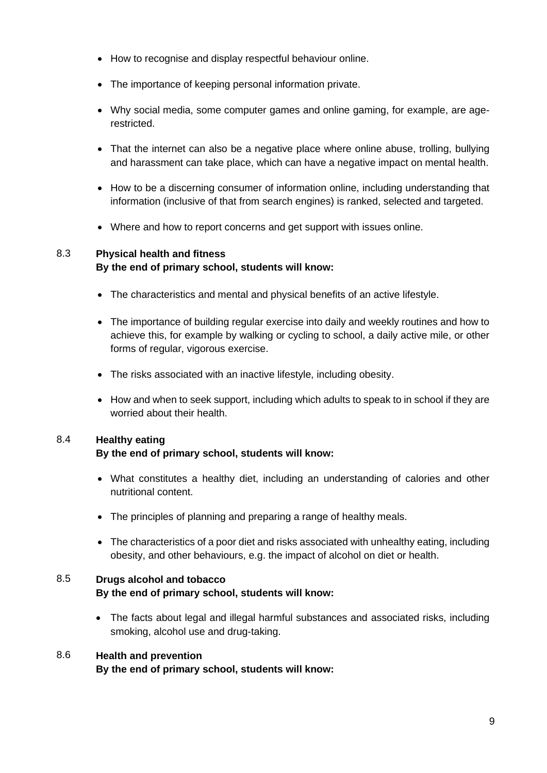- How to recognise and display respectful behaviour online.
- The importance of keeping personal information private.
- Why social media, some computer games and online gaming, for example, are agerestricted.
- That the internet can also be a negative place where online abuse, trolling, bullying and harassment can take place, which can have a negative impact on mental health.
- How to be a discerning consumer of information online, including understanding that information (inclusive of that from search engines) is ranked, selected and targeted.
- Where and how to report concerns and get support with issues online.

## 8.3 **Physical health and fitness By the end of primary school, students will know:**

- The characteristics and mental and physical benefits of an active lifestyle.
- The importance of building regular exercise into daily and weekly routines and how to achieve this, for example by walking or cycling to school, a daily active mile, or other forms of regular, vigorous exercise.
- The risks associated with an inactive lifestyle, including obesity.
- How and when to seek support, including which adults to speak to in school if they are worried about their health.

## 8.4 **Healthy eating**

## **By the end of primary school, students will know:**

- What constitutes a healthy diet, including an understanding of calories and other nutritional content.
- The principles of planning and preparing a range of healthy meals.
- The characteristics of a poor diet and risks associated with unhealthy eating, including obesity, and other behaviours, e.g. the impact of alcohol on diet or health.

## 8.5 **Drugs alcohol and tobacco By the end of primary school, students will know:**

• The facts about legal and illegal harmful substances and associated risks, including smoking, alcohol use and drug-taking.

## 8.6 **Health and prevention By the end of primary school, students will know:**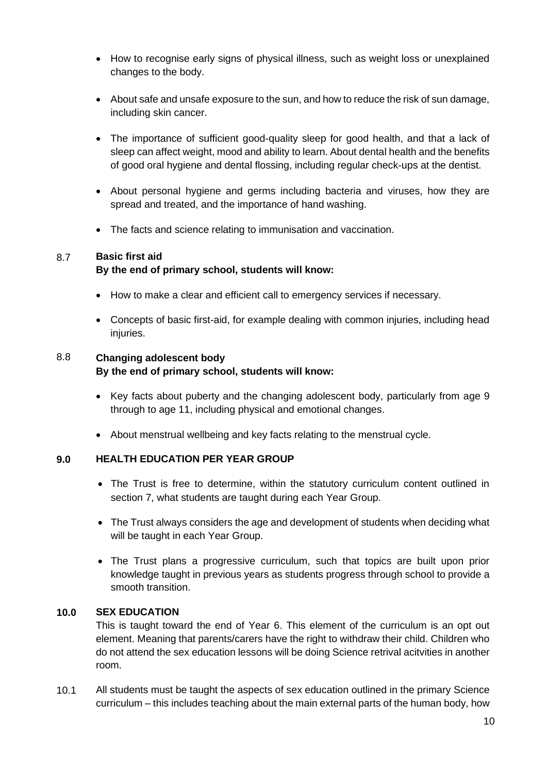- How to recognise early signs of physical illness, such as weight loss or unexplained changes to the body.
- About safe and unsafe exposure to the sun, and how to reduce the risk of sun damage, including skin cancer.
- The importance of sufficient good-quality sleep for good health, and that a lack of sleep can affect weight, mood and ability to learn. About dental health and the benefits of good oral hygiene and dental flossing, including regular check-ups at the dentist.
- About personal hygiene and germs including bacteria and viruses, how they are spread and treated, and the importance of hand washing.
- The facts and science relating to immunisation and vaccination.

## 8.7 **Basic first aid**

## **By the end of primary school, students will know:**

- How to make a clear and efficient call to emergency services if necessary.
- Concepts of basic first-aid, for example dealing with common injuries, including head iniuries.

## 8.8 **Changing adolescent body By the end of primary school, students will know:**

- Key facts about puberty and the changing adolescent body, particularly from age 9 through to age 11, including physical and emotional changes.
- About menstrual wellbeing and key facts relating to the menstrual cycle.

#### **9.0 HEALTH EDUCATION PER YEAR GROUP**

- The Trust is free to determine, within the statutory curriculum content outlined in section 7, what students are taught during each Year Group.
- The Trust always considers the age and development of students when deciding what will be taught in each Year Group.
- The Trust plans a progressive curriculum, such that topics are built upon prior knowledge taught in previous years as students progress through school to provide a smooth transition.

#### **10.0 SEX EDUCATION**

This is taught toward the end of Year 6. This element of the curriculum is an opt out element. Meaning that parents/carers have the right to withdraw their child. Children who do not attend the sex education lessons will be doing Science retrival acitvities in another room.

10.1 All students must be taught the aspects of sex education outlined in the primary Science curriculum – this includes teaching about the main external parts of the human body, how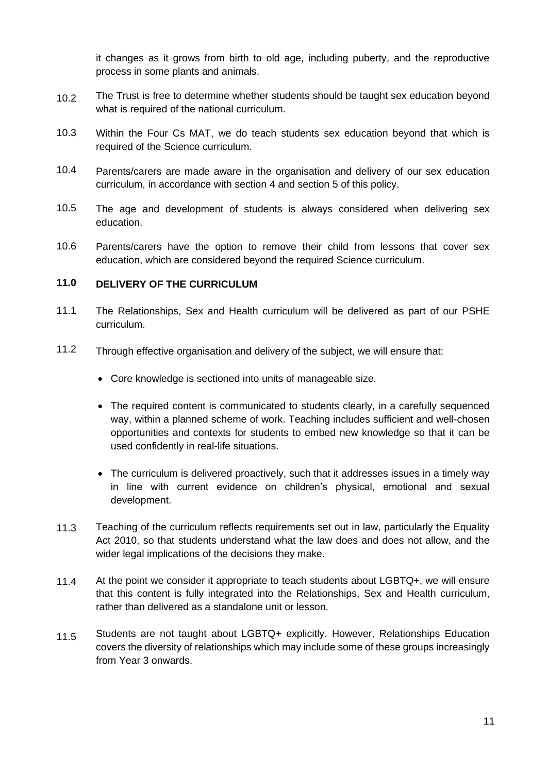it changes as it grows from birth to old age, including puberty, and the reproductive process in some plants and animals.

- 10.2 The Trust is free to determine whether students should be taught sex education beyond what is required of the national curriculum.
- 10.3 Within the Four Cs MAT, we do teach students sex education beyond that which is required of the Science curriculum.
- 10.4 Parents/carers are made aware in the organisation and delivery of our sex education curriculum, in accordance with section 4 and section 5 of this policy.
- 10.5 The age and development of students is always considered when delivering sex education.
- 10.6 Parents/carers have the option to remove their child from lessons that cover sex education, which are considered beyond the required Science curriculum.

## **11.0 DELIVERY OF THE CURRICULUM**

- 11.1 The Relationships, Sex and Health curriculum will be delivered as part of our PSHE curriculum.
- 11.2 Through effective organisation and delivery of the subject, we will ensure that:
	- Core knowledge is sectioned into units of manageable size.
	- The required content is communicated to students clearly, in a carefully sequenced way, within a planned scheme of work. Teaching includes sufficient and well-chosen opportunities and contexts for students to embed new knowledge so that it can be used confidently in real-life situations.
	- The curriculum is delivered proactively, such that it addresses issues in a timely way in line with current evidence on children's physical, emotional and sexual development.
- 11.3 Teaching of the curriculum reflects requirements set out in law, particularly the Equality Act 2010, so that students understand what the law does and does not allow, and the wider legal implications of the decisions they make.
- 11.4 At the point we consider it appropriate to teach students about LGBTQ+, we will ensure that this content is fully integrated into the Relationships, Sex and Health curriculum, rather than delivered as a standalone unit or lesson.
- 11.5 Students are not taught about LGBTQ+ explicitly. However, Relationships Education covers the diversity of relationships which may include some of these groups increasingly from Year 3 onwards.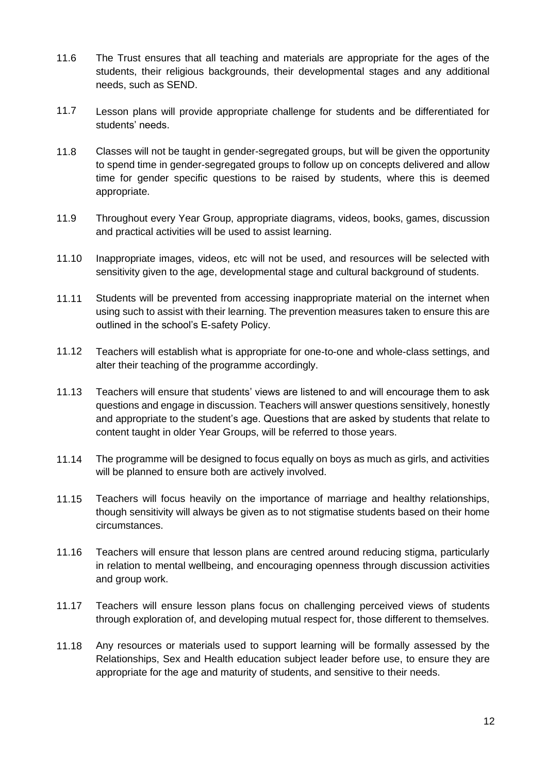- 11.6 The Trust ensures that all teaching and materials are appropriate for the ages of the students, their religious backgrounds, their developmental stages and any additional needs, such as SEND.
- 11.7 Lesson plans will provide appropriate challenge for students and be differentiated for students' needs.
- 11.8 Classes will not be taught in gender-segregated groups, but will be given the opportunity to spend time in gender-segregated groups to follow up on concepts delivered and allow time for gender specific questions to be raised by students, where this is deemed appropriate.
- 11.9 Throughout every Year Group, appropriate diagrams, videos, books, games, discussion and practical activities will be used to assist learning.
- 11.10 Inappropriate images, videos, etc will not be used, and resources will be selected with sensitivity given to the age, developmental stage and cultural background of students.
- 11.11 Students will be prevented from accessing inappropriate material on the internet when using such to assist with their learning. The prevention measures taken to ensure this are outlined in the school's E-safety Policy.
- 11.12 Teachers will establish what is appropriate for one-to-one and whole-class settings, and alter their teaching of the programme accordingly.
- 11.13 Teachers will ensure that students' views are listened to and will encourage them to ask questions and engage in discussion. Teachers will answer questions sensitively, honestly and appropriate to the student's age. Questions that are asked by students that relate to content taught in older Year Groups, will be referred to those years.
- 11.14 The programme will be designed to focus equally on boys as much as girls, and activities will be planned to ensure both are actively involved.
- 11.15 Teachers will focus heavily on the importance of marriage and healthy relationships, though sensitivity will always be given as to not stigmatise students based on their home circumstances.
- 11.16 Teachers will ensure that lesson plans are centred around reducing stigma, particularly in relation to mental wellbeing, and encouraging openness through discussion activities and group work.
- 11.17 Teachers will ensure lesson plans focus on challenging perceived views of students through exploration of, and developing mutual respect for, those different to themselves.
- 11.18 Any resources or materials used to support learning will be formally assessed by the Relationships, Sex and Health education subject leader before use, to ensure they are appropriate for the age and maturity of students, and sensitive to their needs.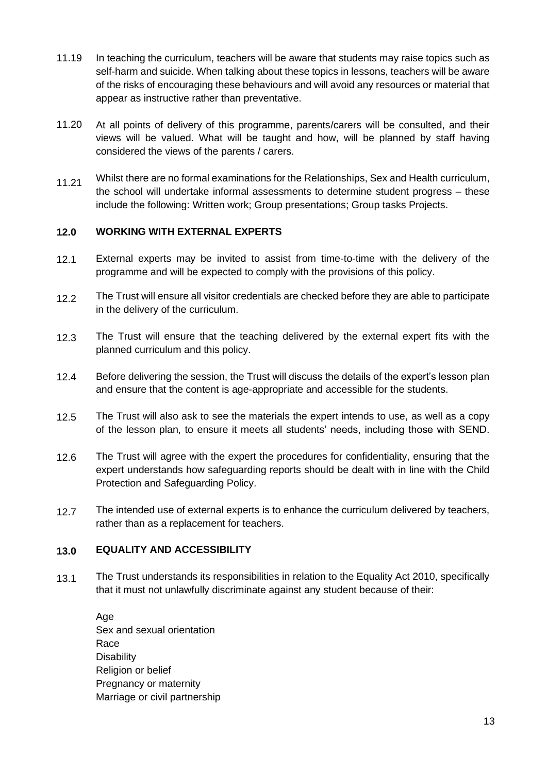- 11.19 In teaching the curriculum, teachers will be aware that students may raise topics such as self-harm and suicide. When talking about these topics in lessons, teachers will be aware of the risks of encouraging these behaviours and will avoid any resources or material that appear as instructive rather than preventative.
- 11.20 At all points of delivery of this programme, parents/carers will be consulted, and their views will be valued. What will be taught and how, will be planned by staff having considered the views of the parents / carers.
- 11.21 Whilst there are no formal examinations for the Relationships, Sex and Health curriculum, the school will undertake informal assessments to determine student progress – these include the following: Written work; Group presentations; Group tasks Projects.

### **12.0 WORKING WITH EXTERNAL EXPERTS**

- 12.1 External experts may be invited to assist from time-to-time with the delivery of the programme and will be expected to comply with the provisions of this policy.
- 12.2 The Trust will ensure all visitor credentials are checked before they are able to participate in the delivery of the curriculum.
- 12.3 The Trust will ensure that the teaching delivered by the external expert fits with the planned curriculum and this policy.
- 12.4 Before delivering the session, the Trust will discuss the details of the expert's lesson plan and ensure that the content is age-appropriate and accessible for the students.
- 12.5 The Trust will also ask to see the materials the expert intends to use, as well as a copy of the lesson plan, to ensure it meets all students' needs, including those with SEND.
- 12.6 The Trust will agree with the expert the procedures for confidentiality, ensuring that the expert understands how safeguarding reports should be dealt with in line with the Child Protection and Safeguarding Policy.
- 12.7 The intended use of external experts is to enhance the curriculum delivered by teachers, rather than as a replacement for teachers.

### **13.0 EQUALITY AND ACCESSIBILITY**

13.1 The Trust understands its responsibilities in relation to the Equality Act 2010, specifically that it must not unlawfully discriminate against any student because of their:

Age Sex and sexual orientation Race **Disability** Religion or belief Pregnancy or maternity Marriage or civil partnership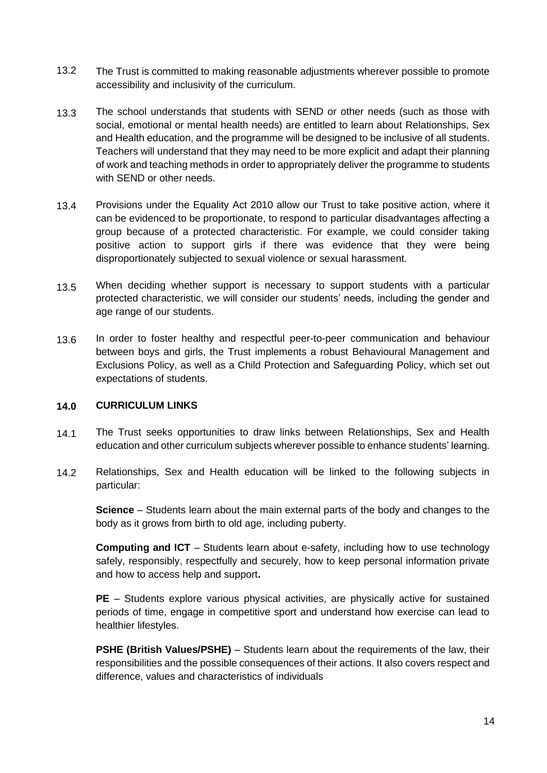- 13.2 The Trust is committed to making reasonable adjustments wherever possible to promote accessibility and inclusivity of the curriculum.
- 13.3 The school understands that students with SEND or other needs (such as those with social, emotional or mental health needs) are entitled to learn about Relationships, Sex and Health education, and the programme will be designed to be inclusive of all students. Teachers will understand that they may need to be more explicit and adapt their planning of work and teaching methods in order to appropriately deliver the programme to students with SEND or other needs.
- 13.4 Provisions under the Equality Act 2010 allow our Trust to take positive action, where it can be evidenced to be proportionate, to respond to particular disadvantages affecting a group because of a protected characteristic. For example, we could consider taking positive action to support girls if there was evidence that they were being disproportionately subjected to sexual violence or sexual harassment.
- 13.5 When deciding whether support is necessary to support students with a particular protected characteristic, we will consider our students' needs, including the gender and age range of our students.
- 13.6 In order to foster healthy and respectful peer-to-peer communication and behaviour between boys and girls, the Trust implements a robust Behavioural Management and Exclusions Policy, as well as a Child Protection and Safeguarding Policy, which set out expectations of students.

#### **14.0 CURRICULUM LINKS**

- 14.1 The Trust seeks opportunities to draw links between Relationships, Sex and Health education and other curriculum subjects wherever possible to enhance students' learning.
- 14.2 Relationships, Sex and Health education will be linked to the following subjects in particular:

**Science** – Students learn about the main external parts of the body and changes to the body as it grows from birth to old age, including puberty.

**Computing and ICT** – Students learn about e-safety, including how to use technology safely, responsibly, respectfully and securely, how to keep personal information private and how to access help and support**.**

**PE** – Students explore various physical activities, are physically active for sustained periods of time, engage in competitive sport and understand how exercise can lead to healthier lifestyles.

**PSHE (British Values/PSHE)** – Students learn about the requirements of the law, their responsibilities and the possible consequences of their actions. It also covers respect and difference, values and characteristics of individuals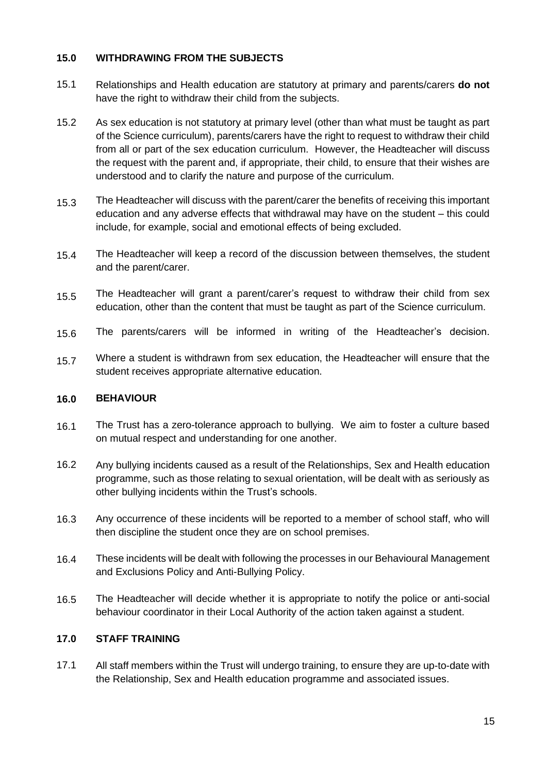### **15.0 WITHDRAWING FROM THE SUBJECTS**

- 15.1 Relationships and Health education are statutory at primary and parents/carers **do not**  have the right to withdraw their child from the subjects.
- 15.2 As sex education is not statutory at primary level (other than what must be taught as part of the Science curriculum), parents/carers have the right to request to withdraw their child from all or part of the sex education curriculum. However, the Headteacher will discuss the request with the parent and, if appropriate, their child, to ensure that their wishes are understood and to clarify the nature and purpose of the curriculum.
- 15.3 The Headteacher will discuss with the parent/carer the benefits of receiving this important education and any adverse effects that withdrawal may have on the student – this could include, for example, social and emotional effects of being excluded.
- 15.4 The Headteacher will keep a record of the discussion between themselves, the student and the parent/carer.
- 15.5 The Headteacher will grant a parent/carer's request to withdraw their child from sex education, other than the content that must be taught as part of the Science curriculum.
- 15.6 The parents/carers will be informed in writing of the Headteacher's decision.
- 15.7 Where a student is withdrawn from sex education, the Headteacher will ensure that the student receives appropriate alternative education.

#### **16.0 BEHAVIOUR**

- 16.1 The Trust has a zero-tolerance approach to bullying. We aim to foster a culture based on mutual respect and understanding for one another.
- 16.2 Any bullying incidents caused as a result of the Relationships, Sex and Health education programme, such as those relating to sexual orientation, will be dealt with as seriously as other bullying incidents within the Trust's schools.
- 16.3 Any occurrence of these incidents will be reported to a member of school staff, who will then discipline the student once they are on school premises.
- 16.4 These incidents will be dealt with following the processes in our Behavioural Management and Exclusions Policy and Anti-Bullying Policy.
- 16.5 The Headteacher will decide whether it is appropriate to notify the police or anti-social behaviour coordinator in their Local Authority of the action taken against a student.

#### **17.0 STAFF TRAINING**

17.1 All staff members within the Trust will undergo training, to ensure they are up-to-date with the Relationship, Sex and Health education programme and associated issues.